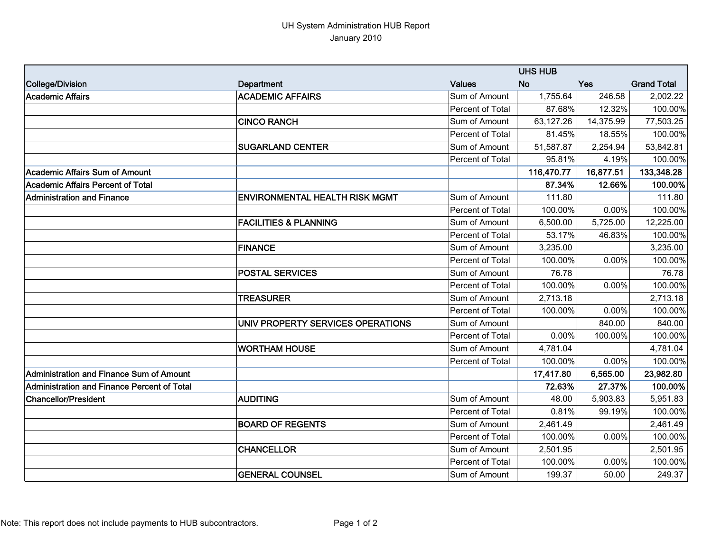## UH System Administration HUB Report January 2010

|                                             |                                       |                  | <b>UHS HUB</b> |           |                    |  |
|---------------------------------------------|---------------------------------------|------------------|----------------|-----------|--------------------|--|
| College/Division                            | <b>Department</b>                     | <b>Values</b>    | <b>No</b>      | Yes       | <b>Grand Total</b> |  |
| Academic Affairs                            | <b>ACADEMIC AFFAIRS</b>               | Sum of Amount    | 1,755.64       | 246.58    | 2,002.22           |  |
|                                             |                                       | Percent of Total | 87.68%         | 12.32%    | 100.00%            |  |
|                                             | <b>CINCO RANCH</b>                    | Sum of Amount    | 63,127.26      | 14,375.99 | 77,503.25          |  |
|                                             |                                       | Percent of Total | 81.45%         | 18.55%    | 100.00%            |  |
|                                             | <b>SUGARLAND CENTER</b>               | Sum of Amount    | 51,587.87      | 2,254.94  | 53,842.81          |  |
|                                             |                                       | Percent of Total | 95.81%         | 4.19%     | 100.00%            |  |
| Academic Affairs Sum of Amount              |                                       |                  | 116,470.77     | 16,877.51 | 133,348.28         |  |
| Academic Affairs Percent of Total           |                                       |                  | 87.34%         | 12.66%    | 100.00%            |  |
| Administration and Finance                  | <b>ENVIRONMENTAL HEALTH RISK MGMT</b> | Sum of Amount    | 111.80         |           | 111.80             |  |
|                                             |                                       | Percent of Total | 100.00%        | 0.00%     | 100.00%            |  |
|                                             | <b>FACILITIES &amp; PLANNING</b>      | Sum of Amount    | 6,500.00       | 5,725.00  | 12,225.00          |  |
|                                             |                                       | Percent of Total | 53.17%         | 46.83%    | 100.00%            |  |
|                                             | <b>FINANCE</b>                        | Sum of Amount    | 3,235.00       |           | 3,235.00           |  |
|                                             |                                       | Percent of Total | 100.00%        | 0.00%     | 100.00%            |  |
|                                             | <b>POSTAL SERVICES</b>                | Sum of Amount    | 76.78          |           | 76.78              |  |
|                                             |                                       | Percent of Total | 100.00%        | 0.00%     | 100.00%            |  |
|                                             | <b>TREASURER</b>                      | Sum of Amount    | 2,713.18       |           | 2,713.18           |  |
|                                             |                                       | Percent of Total | 100.00%        | 0.00%     | 100.00%            |  |
|                                             | UNIV PROPERTY SERVICES OPERATIONS     | Sum of Amount    |                | 840.00    | 840.00             |  |
|                                             |                                       | Percent of Total | 0.00%          | 100.00%   | 100.00%            |  |
|                                             | <b>WORTHAM HOUSE</b>                  | Sum of Amount    | 4,781.04       |           | 4,781.04           |  |
|                                             |                                       | Percent of Total | 100.00%        | 0.00%     | 100.00%            |  |
| Administration and Finance Sum of Amount    |                                       |                  | 17,417.80      | 6,565.00  | 23,982.80          |  |
| Administration and Finance Percent of Total |                                       |                  | 72.63%         | 27.37%    | 100.00%            |  |
| <b>Chancellor/President</b>                 | <b>AUDITING</b>                       | Sum of Amount    | 48.00          | 5,903.83  | 5,951.83           |  |
|                                             |                                       | Percent of Total | 0.81%          | 99.19%    | 100.00%            |  |
|                                             | <b>BOARD OF REGENTS</b>               | Sum of Amount    | 2,461.49       |           | 2,461.49           |  |
|                                             |                                       | Percent of Total | 100.00%        | 0.00%     | 100.00%            |  |
|                                             | <b>CHANCELLOR</b>                     | Sum of Amount    | 2,501.95       |           | 2,501.95           |  |
|                                             |                                       | Percent of Total | 100.00%        | 0.00%     | 100.00%            |  |
|                                             | <b>GENERAL COUNSEL</b>                | Sum of Amount    | 199.37         | 50.00     | 249.37             |  |